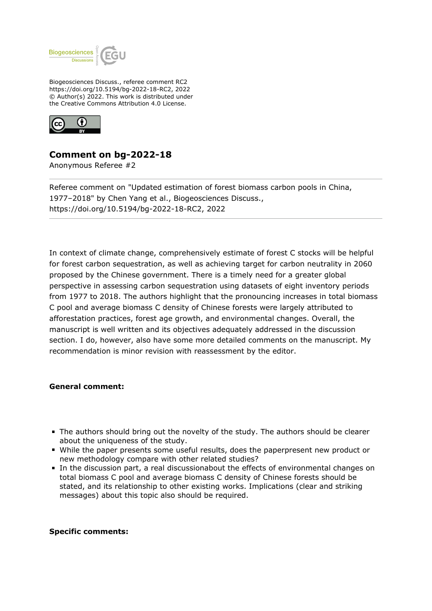

Biogeosciences Discuss., referee comment RC2 https://doi.org/10.5194/bg-2022-18-RC2, 2022 © Author(s) 2022. This work is distributed under the Creative Commons Attribution 4.0 License.



## **Comment on bg-2022-18**

Anonymous Referee #2

Referee comment on "Updated estimation of forest biomass carbon pools in China, 1977–2018" by Chen Yang et al., Biogeosciences Discuss., https://doi.org/10.5194/bg-2022-18-RC2, 2022

In context of climate change, comprehensively estimate of forest C stocks will be helpful for forest carbon sequestration, as well as achieving target for carbon neutrality in 2060 proposed by the Chinese government. There is a timely need for a greater global perspective in assessing carbon sequestration using datasets of eight inventory periods from 1977 to 2018. The authors highlight that the pronouncing increases in total biomass C pool and average biomass C density of Chinese forests were largely attributed to afforestation practices, forest age growth, and environmental changes. Overall, the manuscript is well written and its objectives adequately addressed in the discussion section. I do, however, also have some more detailed comments on the manuscript. My recommendation is minor revision with reassessment by the editor.

## **General comment:**

- The authors should bring out the novelty of the study. The authors should be clearer about the uniqueness of the study.
- While the paper presents some useful results, does the paperpresent new product or new methodology compare with other related studies?
- In the discussion part, a real discussionabout the effects of environmental changes on total biomass C pool and average biomass C density of Chinese forests should be stated, and its relationship to other existing works. Implications (clear and striking messages) about this topic also should be required.

## **Specific comments:**